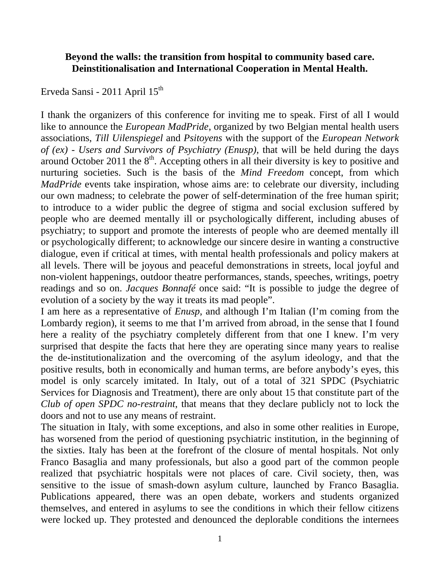## **Beyond the walls: the transition from hospital to community based care. Deinstitionalisation and International Cooperation in Mental Health.**

Erveda Sansi - 2011 April  $15<sup>th</sup>$ 

I thank the organizers of this conference for inviting me to speak. First of all I would like to announce the *European MadPride*, organized by two Belgian mental health users associations, *Till Uilenspiegel* and *Psitoyens* with the support of the *European Network of (ex) - Users and Survivors of Psychiatry (Enusp)*, that will be held during the days around October 2011 the  $8<sup>th</sup>$ . Accepting others in all their diversity is key to positive and nurturing societies. Such is the basis of the *Mind Freedom* concept, from which *MadPride* events take inspiration, whose aims are: to celebrate our diversity, including our own madness; to celebrate the power of self-determination of the free human spirit; to introduce to a wider public the degree of stigma and social exclusion suffered by people who are deemed mentally ill or psychologically different, including abuses of psychiatry; to support and promote the interests of people who are deemed mentally ill or psychologically different; to acknowledge our sincere desire in wanting a constructive dialogue, even if critical at times, with mental health professionals and policy makers at all levels. There will be joyous and peaceful demonstrations in streets, local joyful and non-violent happenings, outdoor theatre performances, stands, speeches, writings, poetry readings and so on. *Jacques Bonnafé* once said: "It is possible to judge the degree of evolution of a society by the way it treats its mad people".

I am here as a representative of *Enusp*, and although I'm Italian (I'm coming from the Lombardy region), it seems to me that I'm arrived from abroad, in the sense that I found here a reality of the psychiatry completely different from that one I knew. I'm very surprised that despite the facts that here they are operating since many years to realise the de-institutionalization and the overcoming of the asylum ideology, and that the positive results, both in economically and human terms, are before anybody's eyes, this model is only scarcely imitated. In Italy, out of a total of 321 SPDC (Psychiatric Services for Diagnosis and Treatment), there are only about 15 that constitute part of the *Club of open SPDC no-restraint*, that means that they declare publicly not to lock the doors and not to use any means of restraint.

The situation in Italy, with some exceptions, and also in some other realities in Europe, has worsened from the period of questioning psychiatric institution, in the beginning of the sixties. Italy has been at the forefront of the closure of mental hospitals. Not only Franco Basaglia and many professionals, but also a good part of the common people realized that psychiatric hospitals were not places of care. Civil society, then, was sensitive to the issue of smash-down asylum culture, launched by Franco Basaglia. Publications appeared, there was an open debate, workers and students organized themselves, and entered in asylums to see the conditions in which their fellow citizens were locked up. They protested and denounced the deplorable conditions the internees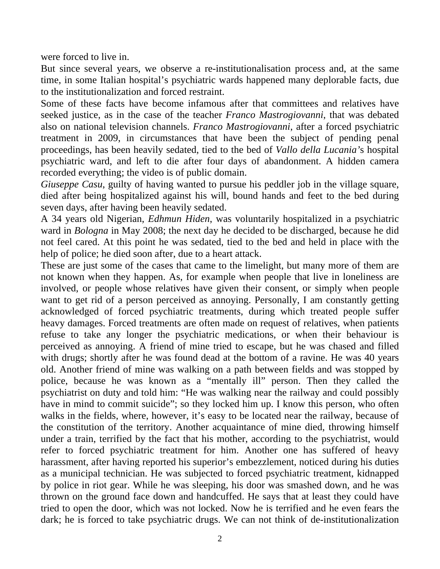were forced to live in.

But since several years, we observe a re-institutionalisation process and, at the same time, in some Italian hospital's psychiatric wards happened many deplorable facts, due to the institutionalization and forced restraint.

Some of these facts have become infamous after that committees and relatives have seeked justice, as in the case of the teacher *Franco Mastrogiovanni*, that was debated also on national television channels. *Franco Mastrogiovanni*, after a forced psychiatric treatment in 2009, in circumstances that have been the subject of pending penal proceedings, has been heavily sedated, tied to the bed of *Vallo della Lucania'*s hospital psychiatric ward, and left to die after four days of abandonment. A hidden camera recorded everything; the video is of public domain.

*Giuseppe Casu*, guilty of having wanted to pursue his peddler job in the village square, died after being hospitalized against his will, bound hands and feet to the bed during seven days, after having been heavily sedated.

A 34 years old Nigerian, *Edhmun Hiden*, was voluntarily hospitalized in a psychiatric ward in *Bologna* in May 2008; the next day he decided to be discharged, because he did not feel cared. At this point he was sedated, tied to the bed and held in place with the help of police; he died soon after, due to a heart attack.

These are just some of the cases that came to the limelight, but many more of them are not known when they happen. As, for example when people that live in loneliness are involved, or people whose relatives have given their consent, or simply when people want to get rid of a person perceived as annoying. Personally, I am constantly getting acknowledged of forced psychiatric treatments, during which treated people suffer heavy damages. Forced treatments are often made on request of relatives, when patients refuse to take any longer the psychiatric medications, or when their behaviour is perceived as annoying. A friend of mine tried to escape, but he was chased and filled with drugs; shortly after he was found dead at the bottom of a ravine. He was 40 years old. Another friend of mine was walking on a path between fields and was stopped by police, because he was known as a "mentally ill" person. Then they called the psychiatrist on duty and told him: "He was walking near the railway and could possibly have in mind to commit suicide"; so they locked him up. I know this person, who often walks in the fields, where, however, it's easy to be located near the railway, because of the constitution of the territory. Another acquaintance of mine died, throwing himself under a train, terrified by the fact that his mother, according to the psychiatrist, would refer to forced psychiatric treatment for him. Another one has suffered of heavy harassment, after having reported his superior's embezzlement, noticed during his duties as a municipal technician. He was subjected to forced psychiatric treatment, kidnapped by police in riot gear. While he was sleeping, his door was smashed down, and he was thrown on the ground face down and handcuffed. He says that at least they could have tried to open the door, which was not locked. Now he is terrified and he even fears the dark; he is forced to take psychiatric drugs. We can not think of de-institutionalization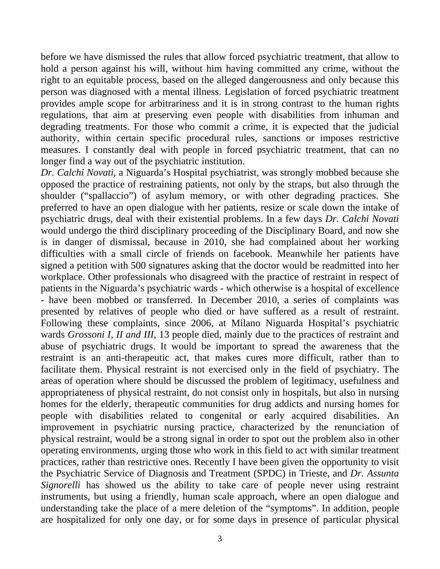before we have dismissed the rules that allow forced psychiatric treatment, that allow to hold a person against his will, without him having committed any crime, without the right to an equitable process, based on the alleged dangerousness and only because this person was diagnosed with a mental illness. Legislation of forced psychiatric treatment provides ample scope for arbitrariness and it is in strong contrast to the human rights regulations, that aim at preserving even people with disabilities from inhuman and degrading treatments. For those who commit a crime, it is expected that the judicial authority, within certain specific procedural rules, sanctions or imposes restrictive measures. I constantly deal with people in forced psychiatric treatment, that can no longer find a way out of the psychiatric institution.

*Dr. Calchi Novati*, a Niguarda's Hospital psychiatrist, was strongly mobbed because she opposed the practice of restraining patients, not only by the straps, but also through the shoulder ("spallaccio") of asylum memory, or with other degrading practices. She preferred to have an open dialogue with her patients, resize or scale down the intake of psychiatric drugs, deal with their existential problems. In a few days *Dr. Calchi Novati* would undergo the third disciplinary proceeding of the Disciplinary Board, and now she is in danger of dismissal, because in 2010, she had complained about her working difficulties with a small circle of friends on facebook. Meanwhile her patients have signed a petition with 500 signatures asking that the doctor would be readmitted into her workplace. Other professionals who disagreed with the practice of restraint in respect of patients in the Niguarda's psychiatric wards - which otherwise is a hospital of excellence - have been mobbed or transferred. In December 2010, a series of complaints was presented by relatives of people who died or have suffered as a result of restraint. Following these complaints, since 2006, at Milano Niguarda Hospital's psychiatric wards *Grossoni I, II and III,* 13 people died, mainly due to the practices of restraint and abuse of psychiatric drugs. It would be important to spread the awareness that the restraint is an anti-therapeutic act, that makes cures more difficult, rather than to facilitate them. Physical restraint is not exercised only in the field of psychiatry. The areas of operation where should be discussed the problem of legitimacy, usefulness and appropriateness of physical restraint, do not consist only in hospitals, but also in nursing homes for the elderly, therapeutic communities for drug addicts and nursing homes for people with disabilities related to congenital or early acquired disabilities. An improvement in psychiatric nursing practice, characterized by the renunciation of physical restraint, would be a strong signal in order to spot out the problem also in other operating environments, urging those who work in this field to act with similar treatment practices, rather than restrictive ones. Recently I have been given the opportunity to visit the Psychiatric Service of Diagnosis and Treatment (SPDC) in Trieste, and *Dr. Assunta Signorelli* has showed us the ability to take care of people never using restraint instruments, but using a friendly, human scale approach, where an open dialogue and understanding take the place of a mere deletion of the "symptoms". In addition, people are hospitalized for only one day, or for some days in presence of particular physical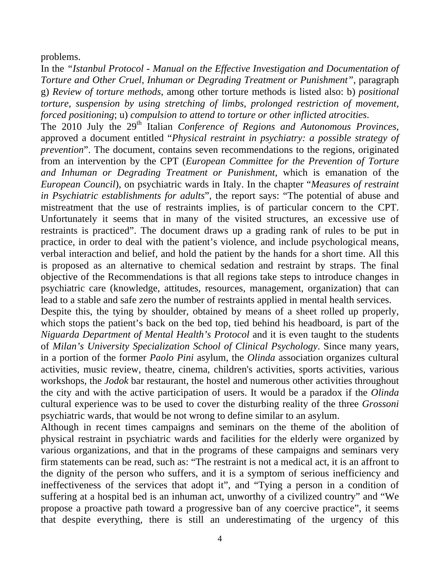problems.

In the *"Istanbul Protocol - Manual on the Effective Investigation and Documentation of Torture and Other Cruel, Inhuman or Degrading Treatment or Punishment"*, paragraph g) *Review of torture methods*, among other torture methods is listed also: b) *positional torture, suspension by using stretching of limbs, prolonged restriction of movement, forced positioning*; u) *compulsion to attend to torture or other inflicted atrocities*.

The 2010 July the 29th Italian *Conference of Regions and Autonomous Provinces*, approved a document entitled "*Physical restraint in psychiatry: a possible strategy of prevention*". The document, contains seven recommendations to the regions, originated from an intervention by the CPT (*European Committee for the Prevention of Torture and Inhuman or Degrading Treatment or Punishment*, which is emanation of the *European Council*), on psychiatric wards in Italy. In the chapter "*Measures of restraint in Psychiatric establishments for adults*", the report says: "The potential of abuse and mistreatment that the use of restraints implies, is of particular concern to the CPT. Unfortunately it seems that in many of the visited structures, an excessive use of restraints is practiced". The document draws up a grading rank of rules to be put in practice, in order to deal with the patient's violence, and include psychological means, verbal interaction and belief, and hold the patient by the hands for a short time. All this is proposed as an alternative to chemical sedation and restraint by straps. The final objective of the Recommendations is that all regions take steps to introduce changes in psychiatric care (knowledge, attitudes, resources, management, organization) that can lead to a stable and safe zero the number of restraints applied in mental health services.

Despite this, the tying by shoulder, obtained by means of a sheet rolled up properly, which stops the patient's back on the bed top, tied behind his headboard, is part of the *Niguarda Department of Mental Health's Protocol* and it is even taught to the students of *Milan's University Specialization School of Clinical Psychology*. Since many years, in a portion of the former *Paolo Pini* asylum, the *Olinda* association organizes cultural activities, music review, theatre, cinema, children's activities, sports activities, various workshops, the *Jodok* bar restaurant, the hostel and numerous other activities throughout the city and with the active participation of users. It would be a paradox if the *Olinda* cultural experience was to be used to cover the disturbing reality of the three *Grossoni* psychiatric wards, that would be not wrong to define similar to an asylum.

Although in recent times campaigns and seminars on the theme of the abolition of physical restraint in psychiatric wards and facilities for the elderly were organized by various organizations, and that in the programs of these campaigns and seminars very firm statements can be read, such as: "The restraint is not a medical act, it is an affront to the dignity of the person who suffers, and it is a symptom of serious inefficiency and ineffectiveness of the services that adopt it", and "Tying a person in a condition of suffering at a hospital bed is an inhuman act, unworthy of a civilized country" and "We propose a proactive path toward a progressive ban of any coercive practice", it seems that despite everything, there is still an underestimating of the urgency of this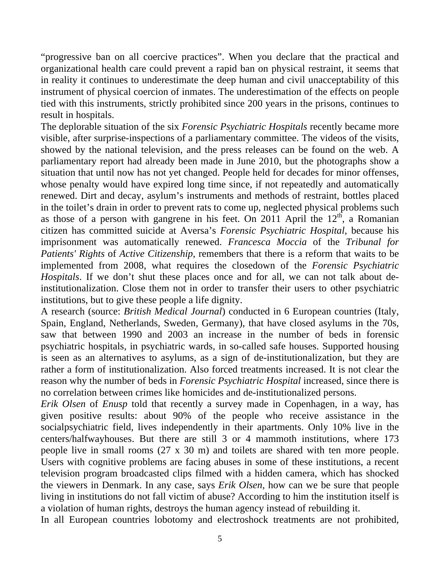"progressive ban on all coercive practices". When you declare that the practical and organizational health care could prevent a rapid ban on physical restraint, it seems that in reality it continues to underestimate the deep human and civil unacceptability of this instrument of physical coercion of inmates. The underestimation of the effects on people tied with this instruments, strictly prohibited since 200 years in the prisons, continues to result in hospitals.

The deplorable situation of the six *Forensic Psychiatric Hospitals* recently became more visible, after surprise-inspections of a parliamentary committee. The videos of the visits, showed by the national television, and the press releases can be found on the web. A parliamentary report had already been made in June 2010, but the photographs show a situation that until now has not yet changed. People held for decades for minor offenses, whose penalty would have expired long time since, if not repeatedly and automatically renewed. Dirt and decay, asylum's instruments and methods of restraint, bottles placed in the toilet's drain in order to prevent rats to come up, neglected physical problems such as those of a person with gangrene in his feet. On 2011 April the  $12<sup>th</sup>$ , a Romanian citizen has committed suicide at Aversa's *Forensic Psychiatric Hospital*, because his imprisonment was automatically renewed. *Francesca Moccia* of the *Tribunal for Patients' Rights* of *Active Citizenship*, remembers that there is a reform that waits to be implemented from 2008, what requires the closedown of the *Forensic Psychiatric Hospitals*. If we don't shut these places once and for all, we can not talk about deinstitutionalization. Close them not in order to transfer their users to other psychiatric institutions, but to give these people a life dignity.

A research (source: *British Medical Journal*) conducted in 6 European countries (Italy, Spain, England, Netherlands, Sweden, Germany), that have closed asylums in the 70s, saw that between 1990 and 2003 an increase in the number of beds in forensic psychiatric hospitals, in psychiatric wards, in so-called safe houses. Supported housing is seen as an alternatives to asylums, as a sign of de-institutionalization, but they are rather a form of institutionalization. Also forced treatments increased. It is not clear the reason why the number of beds in *Forensic Psychiatric Hospital* increased, since there is no correlation between crimes like homicides and de-institutionalized persons.

*Erik Olsen* of *Enusp* told that recently a survey made in Copenhagen, in a way, has given positive results: about 90% of the people who receive assistance in the socialpsychiatric field, lives independently in their apartments. Only 10% live in the centers/halfwayhouses. But there are still 3 or 4 mammoth institutions, where 173 people live in small rooms (27 x 30 m) and toilets are shared with ten more people. Users with cognitive problems are facing abuses in some of these institutions, a recent television program broadcasted clips filmed with a hidden camera, which has shocked the viewers in Denmark. In any case, says *Erik Olsen*, how can we be sure that people living in institutions do not fall victim of abuse? According to him the institution itself is a violation of human rights, destroys the human agency instead of rebuilding it.

In all European countries lobotomy and electroshock treatments are not prohibited,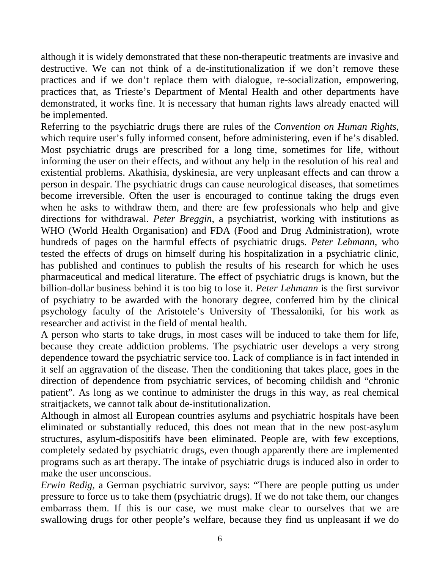although it is widely demonstrated that these non-therapeutic treatments are invasive and destructive. We can not think of a de-institutionalization if we don't remove these practices and if we don't replace them with dialogue, re-socialization, empowering, practices that, as Trieste's Department of Mental Health and other departments have demonstrated, it works fine. It is necessary that human rights laws already enacted will be implemented.

Referring to the psychiatric drugs there are rules of the *Convention on Human Rights*, which require user's fully informed consent, before administering, even if he's disabled. Most psychiatric drugs are prescribed for a long time, sometimes for life, without informing the user on their effects, and without any help in the resolution of his real and existential problems. Akathisia, dyskinesia, are very unpleasant effects and can throw a person in despair. The psychiatric drugs can cause neurological diseases, that sometimes become irreversible. Often the user is encouraged to continue taking the drugs even when he asks to withdraw them, and there are few professionals who help and give directions for withdrawal. *Peter Breggin*, a psychiatrist, working with institutions as WHO (World Health Organisation) and FDA (Food and Drug Administration), wrote hundreds of pages on the harmful effects of psychiatric drugs. *Peter Lehmann*, who tested the effects of drugs on himself during his hospitalization in a psychiatric clinic, has published and continues to publish the results of his research for which he uses pharmaceutical and medical literature. The effect of psychiatric drugs is known, but the billion-dollar business behind it is too big to lose it. *Peter Lehmann* is the first survivor of psychiatry to be awarded with the honorary degree, conferred him by the clinical psychology faculty of the Aristotele's University of Thessaloniki, for his work as researcher and activist in the field of mental health.

A person who starts to take drugs, in most cases will be induced to take them for life, because they create addiction problems. The psychiatric user develops a very strong dependence toward the psychiatric service too. Lack of compliance is in fact intended in it self an aggravation of the disease. Then the conditioning that takes place, goes in the direction of dependence from psychiatric services, of becoming childish and "chronic patient". As long as we continue to administer the drugs in this way, as real chemical straitjackets, we cannot talk about de-institutionalization.

Although in almost all European countries asylums and psychiatric hospitals have been eliminated or substantially reduced, this does not mean that in the new post-asylum structures, asylum-dispositifs have been eliminated. People are, with few exceptions, completely sedated by psychiatric drugs, even though apparently there are implemented programs such as art therapy. The intake of psychiatric drugs is induced also in order to make the user unconscious.

*Erwin Redig*, a German psychiatric survivor, says: "There are people putting us under pressure to force us to take them (psychiatric drugs). If we do not take them, our changes embarrass them. If this is our case, we must make clear to ourselves that we are swallowing drugs for other people's welfare, because they find us unpleasant if we do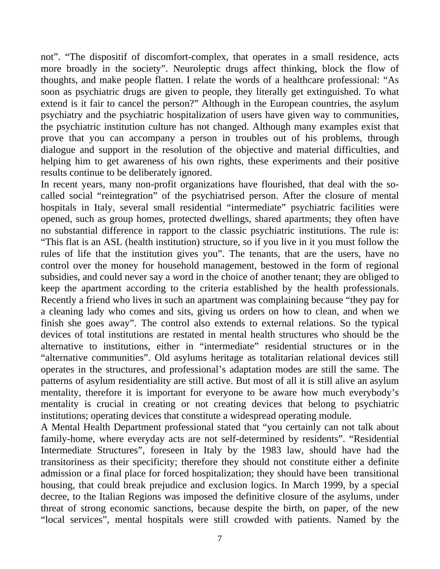not". "The dispositif of discomfort-complex, that operates in a small residence, acts more broadly in the society". Neuroleptic drugs affect thinking, block the flow of thoughts, and make people flatten. I relate the words of a healthcare professional: "As soon as psychiatric drugs are given to people, they literally get extinguished. To what extend is it fair to cancel the person?" Although in the European countries, the asylum psychiatry and the psychiatric hospitalization of users have given way to communities, the psychiatric institution culture has not changed. Although many examples exist that prove that you can accompany a person in troubles out of his problems, through dialogue and support in the resolution of the objective and material difficulties, and helping him to get awareness of his own rights, these experiments and their positive results continue to be deliberately ignored.

In recent years, many non-profit organizations have flourished, that deal with the socalled social "reintegration" of the psychiatrised person. After the closure of mental hospitals in Italy, several small residential "intermediate" psychiatric facilities were opened, such as group homes, protected dwellings, shared apartments; they often have no substantial difference in rapport to the classic psychiatric institutions. The rule is: "This flat is an ASL (health institution) structure, so if you live in it you must follow the rules of life that the institution gives you". The tenants, that are the users, have no control over the money for household management, bestowed in the form of regional subsidies, and could never say a word in the choice of another tenant; they are obliged to keep the apartment according to the criteria established by the health professionals. Recently a friend who lives in such an apartment was complaining because "they pay for a cleaning lady who comes and sits, giving us orders on how to clean, and when we finish she goes away". The control also extends to external relations. So the typical devices of total institutions are restated in mental health structures who should be the alternative to institutions, either in "intermediate" residential structures or in the "alternative communities". Old asylums heritage as totalitarian relational devices still operates in the structures, and professional's adaptation modes are still the same. The patterns of asylum residentiality are still active. But most of all it is still alive an asylum mentality, therefore it is important for everyone to be aware how much everybody's mentality is crucial in creating or not creating devices that belong to psychiatric institutions; operating devices that constitute a widespread operating module.

A Mental Health Department professional stated that "you certainly can not talk about family-home, where everyday acts are not self-determined by residents". "Residential Intermediate Structures", foreseen in Italy by the 1983 law, should have had the transitoriness as their specificity; therefore they should not constitute either a definite admission or a final place for forced hospitalization; they should have been transitional housing, that could break prejudice and exclusion logics. In March 1999, by a special decree, to the Italian Regions was imposed the definitive closure of the asylums, under threat of strong economic sanctions, because despite the birth, on paper, of the new "local services", mental hospitals were still crowded with patients. Named by the